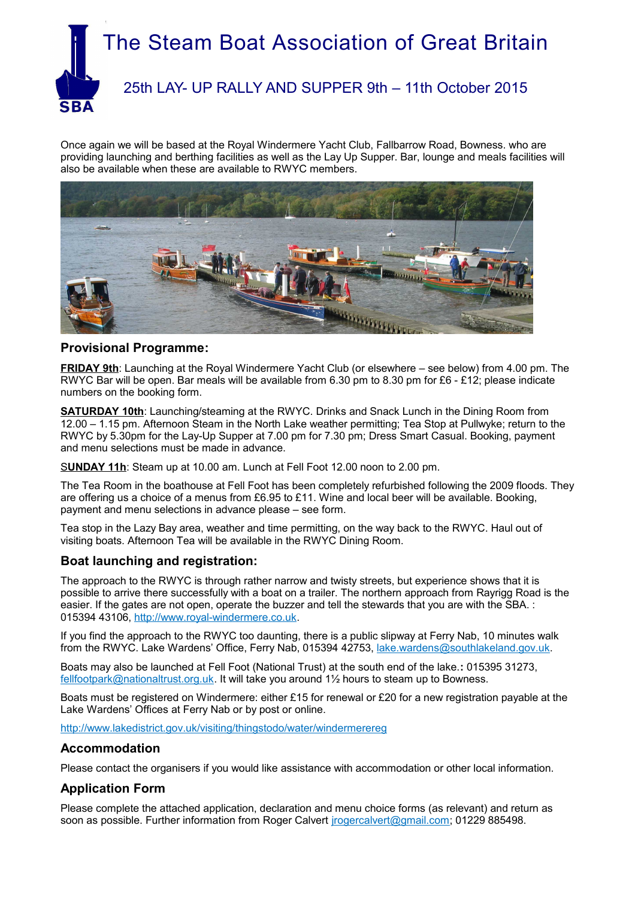

Once again we will be based at the Royal Windermere Yacht Club, Fallbarrow Road, Bowness. who are providing launching and berthing facilities as well as the Lay Up Supper. Bar, lounge and meals facilities will also be available when these are available to RWYC members.



### **Provisional Programme:**

**FRIDAY 9th**: Launching at the Royal Windermere Yacht Club (or elsewhere – see below) from 4.00 pm. The RWYC Bar will be open. Bar meals will be available from 6.30 pm to 8.30 pm for £6 - £12; please indicate numbers on the booking form.

**SATURDAY 10th:** Launching/steaming at the RWYC. Drinks and Snack Lunch in the Dining Room from 12.00 – 1.15 pm. Afternoon Steam in the North Lake weather permitting; Tea Stop at Pullwyke; return to the RWYC by 5.30pm for the Lay-Up Supper at 7.00 pm for 7.30 pm; Dress Smart Casual. Booking, payment and menu selections must be made in advance.

S**UNDAY 11h**: Steam up at 10.00 am. Lunch at Fell Foot 12.00 noon to 2.00 pm.

The Tea Room in the boathouse at Fell Foot has been completely refurbished following the 2009 floods. They are offering us a choice of a menus from £6.95 to £11. Wine and local beer will be available. Booking, payment and menu selections in advance please – see form.

Tea stop in the Lazy Bay area, weather and time permitting, on the way back to the RWYC. Haul out of visiting boats. Afternoon Tea will be available in the RWYC Dining Room.

#### **Boat launching and registration:**

The approach to the RWYC is through rather narrow and twisty streets, but experience shows that it is possible to arrive there successfully with a boat on a trailer. The northern approach from Rayrigg Road is the easier. If the gates are not open, operate the buzzer and tell the stewards that you are with the SBA. : 015394 43106, [http://www.royal-windermere.co.uk.](http://www.royal-windermere.co.uk/)

If you find the approach to the RWYC too daunting, there is a public slipway at Ferry Nab, 10 minutes walk from the RWYC. Lake Wardens' Office, Ferry Nab, 015394 42753, [lake.wardens@southlakeland.gov.uk.](mailto:lake.wardens@southlakeland.gov.uk)

Boats may also be launched at Fell Foot (National Trust) at the south end of the lake.**:** 015395 31273, [fellfootpark@nationaltrust.org.uk.](mailto:fellfootpark@nationaltrust.org.uk) It will take you around 1½ hours to steam up to Bowness.

Boats must be registered on Windermere: either £15 for renewal or £20 for a new registration payable at the Lake Wardens' Offices at Ferry Nab or by post or online.

<http://www.lakedistrict.gov.uk/visiting/thingstodo/water/windermerereg>

#### **Accommodation**

Please contact the organisers if you would like assistance with accommodation or other local information.

#### **Application Form**

Please complete the attached application, declaration and menu choice forms (as relevant) and return as soon as possible. Further information from Roger Calvert [jrogercalvert@gmail.com;](mailto:jrogercalvert@gmail.com) 01229 885498.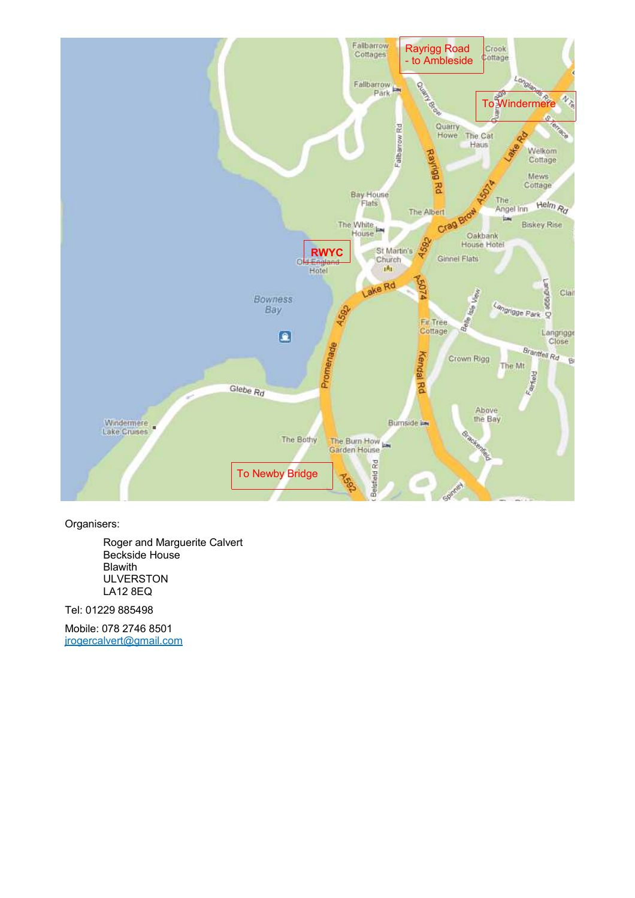

Organisers:

Roger and Marguerite Calvert Beckside House Blawith ULVERSTON LA12 8EQ

Tel: 01229 885498

Mobile: 078 2746 8501 [jrogercalvert@gmail.com](mailto:jrogercalvert@gmail.com)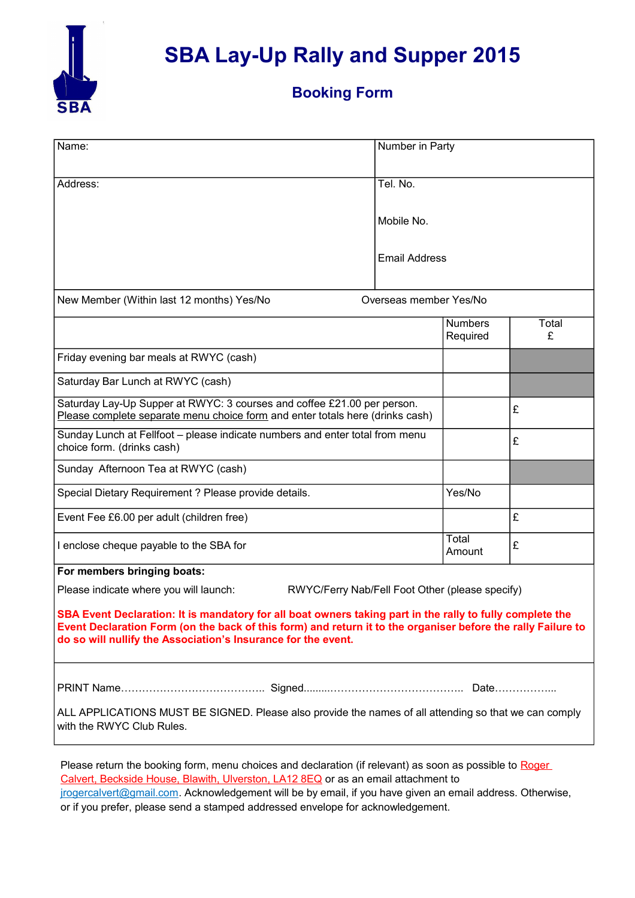

# **SBA Lay-Up Rally and Supper 2015**

### **Booking Form**

| Name:                                                                                                                                                                                                                                                                                      | Number in Party        |                            |            |  |
|--------------------------------------------------------------------------------------------------------------------------------------------------------------------------------------------------------------------------------------------------------------------------------------------|------------------------|----------------------------|------------|--|
| Address:                                                                                                                                                                                                                                                                                   | Tel. No.               |                            |            |  |
|                                                                                                                                                                                                                                                                                            | Mobile No.             |                            |            |  |
|                                                                                                                                                                                                                                                                                            | <b>Email Address</b>   |                            |            |  |
| New Member (Within last 12 months) Yes/No                                                                                                                                                                                                                                                  | Overseas member Yes/No |                            |            |  |
|                                                                                                                                                                                                                                                                                            |                        | <b>Numbers</b><br>Required | Total<br>£ |  |
| Friday evening bar meals at RWYC (cash)                                                                                                                                                                                                                                                    |                        |                            |            |  |
| Saturday Bar Lunch at RWYC (cash)                                                                                                                                                                                                                                                          |                        |                            |            |  |
| Saturday Lay-Up Supper at RWYC: 3 courses and coffee £21.00 per person.<br>Please complete separate menu choice form and enter totals here (drinks cash)                                                                                                                                   |                        |                            | £          |  |
| Sunday Lunch at Fellfoot - please indicate numbers and enter total from menu<br>choice form. (drinks cash)                                                                                                                                                                                 |                        |                            | £          |  |
| Sunday Afternoon Tea at RWYC (cash)                                                                                                                                                                                                                                                        |                        |                            |            |  |
| Special Dietary Requirement ? Please provide details.                                                                                                                                                                                                                                      |                        | Yes/No                     |            |  |
| Event Fee £6.00 per adult (children free)                                                                                                                                                                                                                                                  |                        |                            | £          |  |
| I enclose cheque payable to the SBA for                                                                                                                                                                                                                                                    |                        | Total<br>Amount            | £          |  |
| For members bringing boats:                                                                                                                                                                                                                                                                |                        |                            |            |  |
| Please indicate where you will launch:<br>RWYC/Ferry Nab/Fell Foot Other (please specify)                                                                                                                                                                                                  |                        |                            |            |  |
| SBA Event Declaration: It is mandatory for all boat owners taking part in the rally to fully complete the<br>Event Declaration Form (on the back of this form) and return it to the organiser before the rally Failure to<br>do so will nullify the Association's Insurance for the event. |                        |                            |            |  |
|                                                                                                                                                                                                                                                                                            |                        |                            |            |  |
| ALL APPLICATIONS MUST BE SIGNED. Please also provide the names of all attending so that we can comply<br>with the RWYC Club Rules.                                                                                                                                                         |                        |                            |            |  |
|                                                                                                                                                                                                                                                                                            |                        |                            |            |  |

Please return the booking form, menu choices and declaration (if relevant) as soon as possible to Roger Calvert, Beckside House, Blawith, Ulverston, LA12 8EQ or as an email attachment to irogercalvert@gmail.com. Acknowledgement will be by email, if you have given an email address. Otherwise, or if you prefer, please send a stamped addressed envelope for acknowledgement.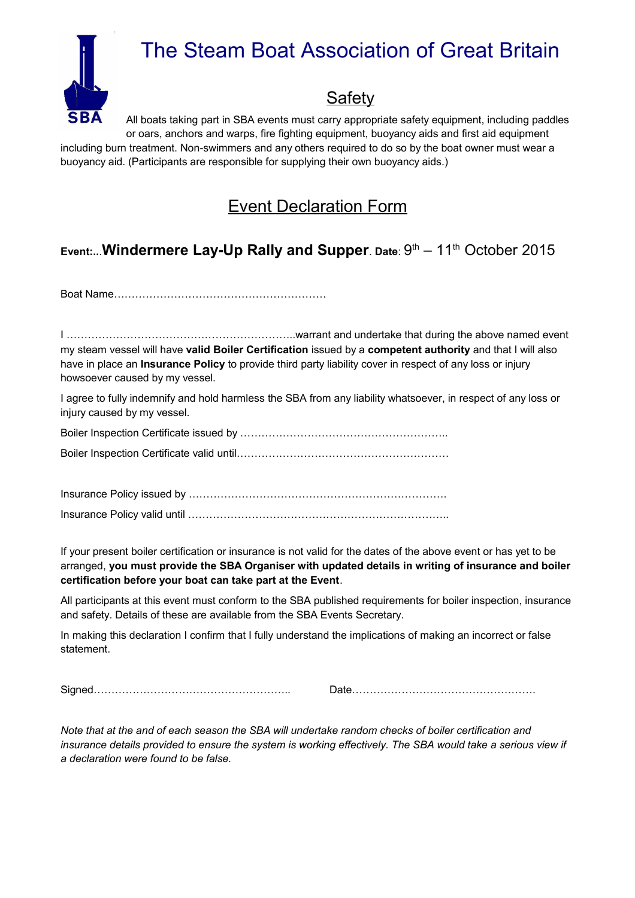

# The Steam Boat Association of Great Britain

# **Safety**

All boats taking part in SBA events must carry appropriate safety equipment, including paddles or oars, anchors and warps, fire fighting equipment, buoyancy aids and first aid equipment including burn treatment. Non-swimmers and any others required to do so by the boat owner must wear a buoyancy aid. (Participants are responsible for supplying their own buoyancy aids.)

## Event Declaration Form

### **Event:..**.**Windermere Lay-Up Rally and Supper**. **Date**: 9 th – 11th October 2015

Boat Name……………………………………………………

I ………………………………………………………..warrant and undertake that during the above named event my steam vessel will have **valid Boiler Certification** issued by a **competent authority** and that I will also have in place an **Insurance Policy** to provide third party liability cover in respect of any loss or injury howsoever caused by my vessel.

I agree to fully indemnify and hold harmless the SBA from any liability whatsoever, in respect of any loss or injury caused by my vessel.

Boiler Inspection Certificate issued by ………………………………………………….. Boiler Inspection Certificate valid until……………………………………………………

Insurance Policy issued by ………………………………………………………………. Insurance Policy valid until ………………………………………………………………..

If your present boiler certification or insurance is not valid for the dates of the above event or has yet to be arranged, **you must provide the SBA Organiser with updated details in writing of insurance and boiler certification before your boat can take part at the Event**.

All participants at this event must conform to the SBA published requirements for boiler inspection, insurance and safety. Details of these are available from the SBA Events Secretary.

In making this declaration I confirm that I fully understand the implications of making an incorrect or false statement.

Signed……………………………………………….. Date…………………………………………….

*Note that at the and of each season the SBA will undertake random checks of boiler certification and insurance details provided to ensure the system is working effectively. The SBA would take a serious view if a declaration were found to be false.*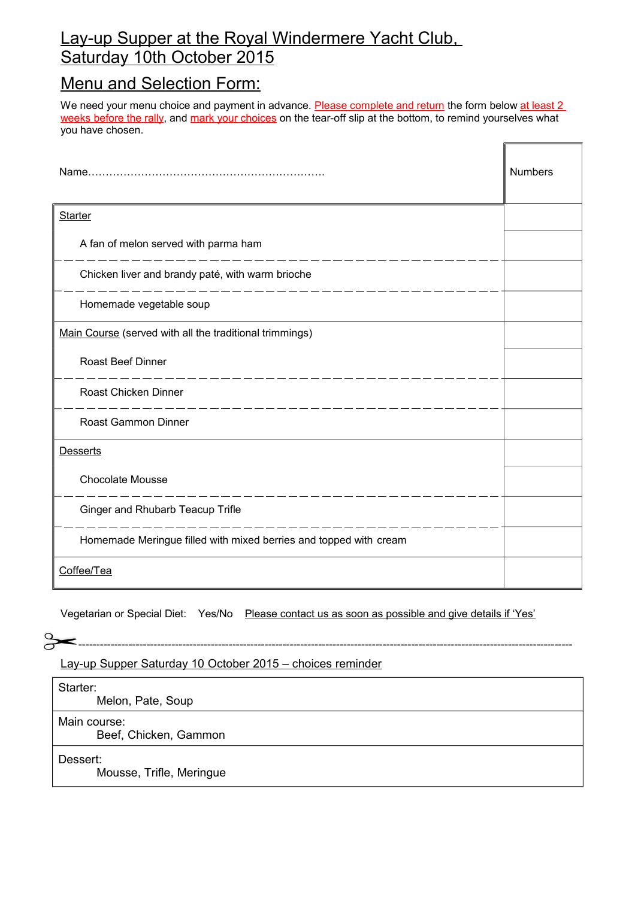### Lay-up Supper at the Royal Windermere Yacht Club, Saturday 10th October 2015

## Menu and Selection Form:

We need your menu choice and payment in advance. Please complete and return the form below at least 2 weeks before the rally, and mark your choices on the tear-off slip at the bottom, to remind yourselves what you have chosen.

 $\bar{\mathbb{F}}$ 

|                                                                   | <b>Numbers</b> |
|-------------------------------------------------------------------|----------------|
| <b>Starter</b>                                                    |                |
| A fan of melon served with parma ham                              |                |
| Chicken liver and brandy paté, with warm brioche                  |                |
| Homemade vegetable soup                                           |                |
| Main Course (served with all the traditional trimmings)           |                |
| Roast Beef Dinner                                                 |                |
| Roast Chicken Dinner                                              |                |
| <b>Roast Gammon Dinner</b>                                        |                |
| <b>Desserts</b>                                                   |                |
| <b>Chocolate Mousse</b>                                           |                |
| Ginger and Rhubarb Teacup Trifle                                  |                |
| Homemade Meringue filled with mixed berries and topped with cream |                |
| Coffee/Tea                                                        |                |

Vegetarian or Special Diet: Yes/No Please contact us as soon as possible and give details if 'Yes'

-----------------------------------------------------------------------------------------------------------------------------------------------

Lay-up Supper Saturday 10 October 2015 – choices reminder

Starter:

Melon, Pate, Soup

Main course:

Beef, Chicken, Gammon

Dessert:

Mousse, Trifle, Meringue